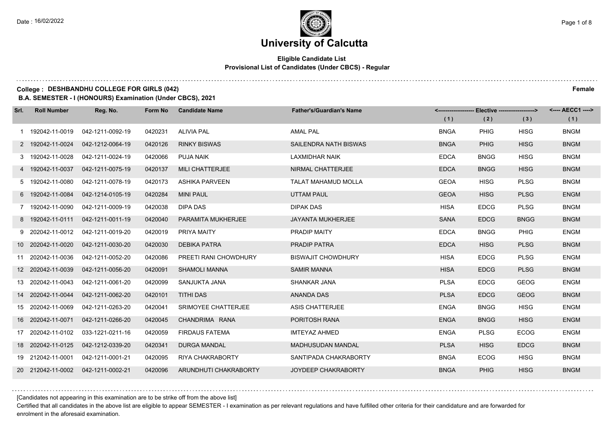#### **Eligible Candidate List Provisional List of Candidates (Under CBCS) - Regular**

#### **College : DESHBANDHU COLLEGE FOR GIRLS (042) Female**

**B.A. SEMESTER - I (HONOURS) Examination (Under CBCS), 2021**

| Srl. | <b>Roll Number</b> | Reg. No.         | Form No | <b>Candidate Name</b>     | <b>Father's/Guardian's Name</b> |             | <------------------- Elective ------------------> |             | <---- AECC1 ----> |
|------|--------------------|------------------|---------|---------------------------|---------------------------------|-------------|---------------------------------------------------|-------------|-------------------|
|      |                    |                  |         |                           |                                 | (1)         | (2)                                               | (3)         | (1)               |
|      | 192042-11-0019     | 042-1211-0092-19 | 0420231 | <b>ALIVIA PAL</b>         | <b>AMAL PAL</b>                 | <b>BNGA</b> | <b>PHIG</b>                                       | <b>HISG</b> | <b>BNGM</b>       |
|      | 2 192042-11-0024   | 042-1212-0064-19 | 0420126 | <b>RINKY BISWAS</b>       | <b>SAILENDRA NATH BISWAS</b>    | <b>BNGA</b> | <b>PHIG</b>                                       | <b>HISG</b> | <b>BNGM</b>       |
|      | 3 192042-11-0028   | 042-1211-0024-19 | 0420066 | <b>PUJA NAIK</b>          | <b>LAXMIDHAR NAIK</b>           | <b>EDCA</b> | <b>BNGG</b>                                       | <b>HISG</b> | <b>BNGM</b>       |
|      | 4 192042-11-0037   | 042-1211-0075-19 | 0420137 | <b>MILI CHATTERJEE</b>    | NIRMAL CHATTERJEE               | <b>EDCA</b> | <b>BNGG</b>                                       | <b>HISG</b> | <b>BNGM</b>       |
|      | 5 192042-11-0080   | 042-1211-0078-19 | 0420173 | <b>ASHIKA PARVEEN</b>     | <b>TALAT MAHAMUD MOLLA</b>      | <b>GEOA</b> | <b>HISG</b>                                       | <b>PLSG</b> | <b>BNGM</b>       |
|      | 6 192042-11-0084   | 042-1214-0105-19 | 0420284 | <b>MINI PAUL</b>          | <b>UTTAM PAUL</b>               | <b>GEOA</b> | <b>HISG</b>                                       | <b>PLSG</b> | <b>ENGM</b>       |
|      | 7 192042-11-0090   | 042-1211-0009-19 | 0420038 | DIPA DAS                  | <b>DIPAK DAS</b>                | <b>HISA</b> | <b>EDCG</b>                                       | <b>PLSG</b> | <b>BNGM</b>       |
|      | 8 192042-11-0111   | 042-1211-0011-19 | 0420040 | <b>PARAMITA MUKHERJEE</b> | JAYANTA MUKHERJEE               | <b>SANA</b> | <b>EDCG</b>                                       | <b>BNGG</b> | <b>BNGM</b>       |
|      | 9 202042-11-0012   | 042-1211-0019-20 | 0420019 | PRIYA MAITY               | PRADIP MAITY                    | <b>EDCA</b> | <b>BNGG</b>                                       | <b>PHIG</b> | <b>ENGM</b>       |
|      | 10 202042-11-0020  | 042-1211-0030-20 | 0420030 | <b>DEBIKA PATRA</b>       | PRADIP PATRA                    | <b>EDCA</b> | <b>HISG</b>                                       | <b>PLSG</b> | <b>BNGM</b>       |
|      | 11 202042-11-0036  | 042-1211-0052-20 | 0420086 | PREETI RANI CHOWDHURY     | <b>BISWAJIT CHOWDHURY</b>       | <b>HISA</b> | <b>EDCG</b>                                       | <b>PLSG</b> | <b>ENGM</b>       |
|      | 12 202042-11-0039  | 042-1211-0056-20 | 0420091 | <b>SHAMOLI MANNA</b>      | <b>SAMIR MANNA</b>              | <b>HISA</b> | <b>EDCG</b>                                       | <b>PLSG</b> | <b>BNGM</b>       |
|      | 13 202042-11-0043  | 042-1211-0061-20 | 0420099 | SANJUKTA JANA             | SHANKAR JANA                    | <b>PLSA</b> | <b>EDCG</b>                                       | <b>GEOG</b> | <b>ENGM</b>       |
|      | 14 202042-11-0044  | 042-1211-0062-20 | 0420101 | <b>TITHI DAS</b>          | <b>ANANDA DAS</b>               | <b>PLSA</b> | <b>EDCG</b>                                       | <b>GEOG</b> | <b>BNGM</b>       |
|      | 15 202042-11-0069  | 042-1211-0263-20 | 0420041 | SRIMOYEE CHATTERJEE       | <b>ASIS CHATTERJEE</b>          | <b>ENGA</b> | <b>BNGG</b>                                       | <b>HISG</b> | <b>ENGM</b>       |
|      | 16 202042-11-0071  | 042-1211-0266-20 | 0420045 | CHANDRIMA RANA            | PORITOSH RANA                   | <b>ENGA</b> | <b>BNGG</b>                                       | <b>HISG</b> | <b>ENGM</b>       |
|      | 17 202042-11-0102  | 033-1221-0211-16 | 0420059 | <b>FIRDAUS FATEMA</b>     | <b>IMTEYAZ AHMED</b>            | <b>ENGA</b> | <b>PLSG</b>                                       | <b>ECOG</b> | <b>ENGM</b>       |
|      | 18 202042-11-0125  | 042-1212-0339-20 | 0420341 | <b>DURGA MANDAL</b>       | <b>MADHUSUDAN MANDAL</b>        | <b>PLSA</b> | <b>HISG</b>                                       | <b>EDCG</b> | <b>BNGM</b>       |
|      | 19 212042-11-0001  | 042-1211-0001-21 | 0420095 | RIYA CHAKRABORTY          | SANTIPADA CHAKRABORTY           | <b>BNGA</b> | <b>ECOG</b>                                       | <b>HISG</b> | <b>BNGM</b>       |
|      | 20 212042-11-0002  | 042-1211-0002-21 | 0420096 | ARUNDHUTI CHAKRABORTY     | <b>JOYDEEP CHAKRABORTY</b>      | <b>BNGA</b> | <b>PHIG</b>                                       | <b>HISG</b> | <b>BNGM</b>       |

[Candidates not appearing in this examination are to be strike off from the above list]

Certified that all candidates in the above list are eligible to appear SEMESTER - I examination as per relevant regulations and have fulfilled other criteria for their candidature and are forwarded for enrolment in the aforesaid examination.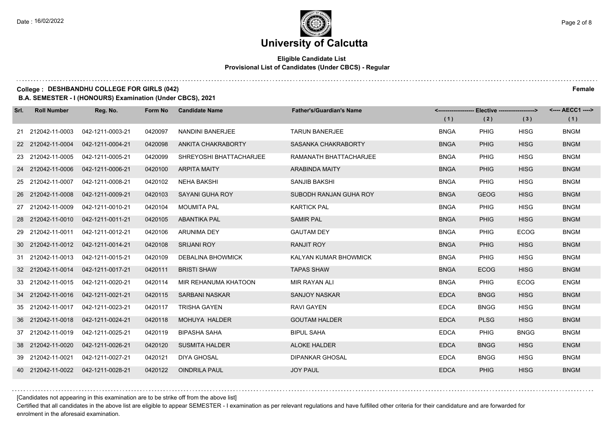#### **Eligible Candidate List Provisional List of Candidates (Under CBCS) - Regular**

**College : DESHBANDHU COLLEGE FOR GIRLS (042) Female**

**B.A. SEMESTER - I (HONOURS) Examination (Under CBCS), 2021**

| Srl. | <b>Roll Number</b> | Reg. No.         | Form No | <b>Candidate Name</b>    | <b>Father's/Guardian's Name</b> |             | <-------------------- Elective -------------------> |             | <---- AECC1 ----> |
|------|--------------------|------------------|---------|--------------------------|---------------------------------|-------------|-----------------------------------------------------|-------------|-------------------|
|      |                    |                  |         |                          |                                 | (1)         | (2)                                                 | (3)         | (1)               |
|      | 21 212042-11-0003  | 042-1211-0003-21 | 0420097 | <b>NANDINI BANERJEE</b>  | <b>TARUN BANERJEE</b>           | <b>BNGA</b> | <b>PHIG</b>                                         | <b>HISG</b> | <b>BNGM</b>       |
|      | 22 212042-11-0004  | 042-1211-0004-21 | 0420098 | ANKITA CHAKRABORTY       | SASANKA CHAKRABORTY             | <b>BNGA</b> | <b>PHIG</b>                                         | <b>HISG</b> | <b>BNGM</b>       |
|      | 23 212042-11-0005  | 042-1211-0005-21 | 0420099 | SHREYOSHI BHATTACHARJEE  | RAMANATH BHATTACHARJEE          | <b>BNGA</b> | <b>PHIG</b>                                         | <b>HISG</b> | <b>BNGM</b>       |
|      | 24 212042-11-0006  | 042-1211-0006-21 | 0420100 | <b>ARPITA MAITY</b>      | <b>ARABINDA MAITY</b>           | <b>BNGA</b> | <b>PHIG</b>                                         | <b>HISG</b> | <b>BNGM</b>       |
|      | 25 212042-11-0007  | 042-1211-0008-21 | 0420102 | <b>NEHA BAKSHI</b>       | SANJIB BAKSHI                   | <b>BNGA</b> | <b>PHIG</b>                                         | <b>HISG</b> | <b>BNGM</b>       |
|      | 26 212042-11-0008  | 042-1211-0009-21 | 0420103 | SAYANI GUHA ROY          | SUBODH RANJAN GUHA ROY          | <b>BNGA</b> | <b>GEOG</b>                                         | <b>HISG</b> | <b>BNGM</b>       |
|      | 27 212042-11-0009  | 042-1211-0010-21 | 0420104 | <b>MOUMITA PAL</b>       | <b>KARTICK PAL</b>              | <b>BNGA</b> | <b>PHIG</b>                                         | <b>HISG</b> | <b>BNGM</b>       |
|      | 28 212042-11-0010  | 042-1211-0011-21 | 0420105 | <b>ABANTIKA PAL</b>      | <b>SAMIR PAL</b>                | <b>BNGA</b> | <b>PHIG</b>                                         | <b>HISG</b> | <b>BNGM</b>       |
|      | 29 212042-11-0011  | 042-1211-0012-21 | 0420106 | <b>ARUNIMA DEY</b>       | <b>GAUTAM DEY</b>               | <b>BNGA</b> | <b>PHIG</b>                                         | ECOG        | <b>BNGM</b>       |
|      | 30 212042-11-0012  | 042-1211-0014-21 | 0420108 | <b>SRIJANI ROY</b>       | <b>RANJIT ROY</b>               | <b>BNGA</b> | <b>PHIG</b>                                         | <b>HISG</b> | <b>BNGM</b>       |
|      | 31 212042-11-0013  | 042-1211-0015-21 | 0420109 | <b>DEBALINA BHOWMICK</b> | KALYAN KUMAR BHOWMICK           | <b>BNGA</b> | <b>PHIG</b>                                         | <b>HISG</b> | <b>BNGM</b>       |
|      | 32 212042-11-0014  | 042-1211-0017-21 | 0420111 | <b>BRISTI SHAW</b>       | <b>TAPAS SHAW</b>               | <b>BNGA</b> | <b>ECOG</b>                                         | <b>HISG</b> | <b>BNGM</b>       |
|      | 33 212042-11-0015  | 042-1211-0020-21 | 0420114 | MIR REHANUMA KHATOON     | <b>MIR RAYAN ALI</b>            | <b>BNGA</b> | <b>PHIG</b>                                         | <b>ECOG</b> | <b>ENGM</b>       |
|      | 34 212042-11-0016  | 042-1211-0021-21 | 0420115 | <b>SARBANI NASKAR</b>    | <b>SANJOY NASKAR</b>            | <b>EDCA</b> | <b>BNGG</b>                                         | <b>HISG</b> | <b>BNGM</b>       |
|      | 35 212042-11-0017  | 042-1211-0023-21 | 0420117 | <b>TRISHA GAYEN</b>      | <b>RAVI GAYEN</b>               | <b>EDCA</b> | <b>BNGG</b>                                         | <b>HISG</b> | <b>BNGM</b>       |
|      | 36 212042-11-0018  | 042-1211-0024-21 | 0420118 | MOHUYA HALDER            | <b>GOUTAM HALDER</b>            | <b>EDCA</b> | <b>PLSG</b>                                         | <b>HISG</b> | <b>BNGM</b>       |
|      | 37 212042-11-0019  | 042-1211-0025-21 | 0420119 | <b>BIPASHA SAHA</b>      | <b>BIPUL SAHA</b>               | <b>EDCA</b> | <b>PHIG</b>                                         | <b>BNGG</b> | <b>BNGM</b>       |
|      | 38 212042-11-0020  | 042-1211-0026-21 | 0420120 | <b>SUSMITA HALDER</b>    | <b>ALOKE HALDER</b>             | <b>EDCA</b> | <b>BNGG</b>                                         | <b>HISG</b> | <b>ENGM</b>       |
|      | 39 212042-11-0021  | 042-1211-0027-21 | 0420121 | <b>DIYA GHOSAL</b>       | <b>DIPANKAR GHOSAL</b>          | <b>EDCA</b> | <b>BNGG</b>                                         | <b>HISG</b> | <b>BNGM</b>       |
|      | 40 212042-11-0022  | 042-1211-0028-21 | 0420122 | <b>OINDRILA PAUL</b>     | <b>JOY PAUL</b>                 | <b>EDCA</b> | <b>PHIG</b>                                         | <b>HISG</b> | <b>BNGM</b>       |

[Candidates not appearing in this examination are to be strike off from the above list]

Certified that all candidates in the above list are eligible to appear SEMESTER - I examination as per relevant regulations and have fulfilled other criteria for their candidature and are forwarded for enrolment in the aforesaid examination.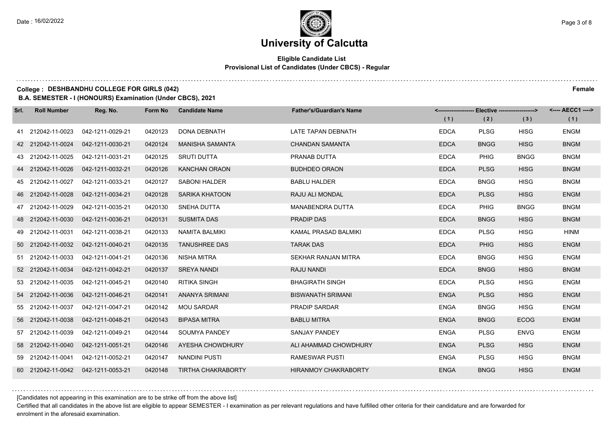#### **Eligible Candidate List Provisional List of Candidates (Under CBCS) - Regular**

#### **College : DESHBANDHU COLLEGE FOR GIRLS (042) Female**

**B.A. SEMESTER - I (HONOURS) Examination (Under CBCS), 2021**

| Srl. | <b>Roll Number</b> | Reg. No.         | Form No | <b>Candidate Name</b>     | <b>Father's/Guardian's Name</b> |             |             |             | <---- AECC1 ----> |
|------|--------------------|------------------|---------|---------------------------|---------------------------------|-------------|-------------|-------------|-------------------|
|      |                    |                  |         |                           |                                 | (1)         | (2)         | (3)         | (1)               |
|      | 41 212042-11-0023  | 042-1211-0029-21 | 0420123 | <b>DONA DEBNATH</b>       | LATE TAPAN DEBNATH              | <b>EDCA</b> | <b>PLSG</b> | <b>HISG</b> | <b>ENGM</b>       |
|      | 42 212042-11-0024  | 042-1211-0030-21 | 0420124 | <b>MANISHA SAMANTA</b>    | <b>CHANDAN SAMANTA</b>          | <b>EDCA</b> | <b>BNGG</b> | <b>HISG</b> | <b>BNGM</b>       |
|      | 43 212042-11-0025  | 042-1211-0031-21 | 0420125 | <b>SRUTI DUTTA</b>        | PRANAB DUTTA                    | <b>EDCA</b> | PHIG        | <b>BNGG</b> | <b>BNGM</b>       |
|      | 44 212042-11-0026  | 042-1211-0032-21 | 0420126 | <b>KANCHAN ORAON</b>      | <b>BUDHDEO ORAON</b>            | <b>EDCA</b> | <b>PLSG</b> | <b>HISG</b> | <b>BNGM</b>       |
|      | 45 212042-11-0027  | 042-1211-0033-21 | 0420127 | <b>SABONI HALDER</b>      | <b>BABLU HALDER</b>             | <b>EDCA</b> | <b>BNGG</b> | <b>HISG</b> | <b>BNGM</b>       |
|      | 46 212042-11-0028  | 042-1211-0034-21 | 0420128 | <b>SARIKA KHATOON</b>     | RAJU ALI MONDAL                 | <b>EDCA</b> | <b>PLSG</b> | <b>HISG</b> | <b>ENGM</b>       |
|      | 47 212042-11-0029  | 042-1211-0035-21 | 0420130 | <b>SNEHA DUTTA</b>        | <b>MANABENDRA DUTTA</b>         | <b>EDCA</b> | <b>PHIG</b> | <b>BNGG</b> | <b>BNGM</b>       |
|      | 48 212042-11-0030  | 042-1211-0036-21 | 0420131 | <b>SUSMITA DAS</b>        | <b>PRADIP DAS</b>               | <b>EDCA</b> | <b>BNGG</b> | <b>HISG</b> | <b>BNGM</b>       |
|      | 49 212042-11-0031  | 042-1211-0038-21 | 0420133 | <b>NAMITA BALMIKI</b>     | KAMAL PRASAD BALMIKI            | <b>EDCA</b> | <b>PLSG</b> | <b>HISG</b> | <b>HINM</b>       |
|      | 50 212042-11-0032  | 042-1211-0040-21 | 0420135 | <b>TANUSHREE DAS</b>      | <b>TARAK DAS</b>                | <b>EDCA</b> | <b>PHIG</b> | <b>HISG</b> | <b>ENGM</b>       |
|      | 51 212042-11-0033  | 042-1211-0041-21 | 0420136 | <b>NISHA MITRA</b>        | SEKHAR RANJAN MITRA             | <b>EDCA</b> | <b>BNGG</b> | <b>HISG</b> | <b>ENGM</b>       |
|      | 52 212042-11-0034  | 042-1211-0042-21 | 0420137 | <b>SREYA NANDI</b>        | RAJU NANDI                      | <b>EDCA</b> | <b>BNGG</b> | <b>HISG</b> | <b>BNGM</b>       |
|      | 53 212042-11-0035  | 042-1211-0045-21 | 0420140 | <b>RITIKA SINGH</b>       | <b>BHAGIRATH SINGH</b>          | <b>EDCA</b> | <b>PLSG</b> | <b>HISG</b> | <b>ENGM</b>       |
|      | 54 212042-11-0036  | 042-1211-0046-21 | 0420141 | ANANYA SRIMANI            | <b>BISWANATH SRIMANI</b>        | <b>ENGA</b> | <b>PLSG</b> | <b>HISG</b> | <b>ENGM</b>       |
|      | 55 212042-11-0037  | 042-1211-0047-21 | 0420142 | <b>MOU SARDAR</b>         | <b>PRADIP SARDAR</b>            | <b>ENGA</b> | <b>BNGG</b> | <b>HISG</b> | <b>ENGM</b>       |
|      | 56 212042-11-0038  | 042-1211-0048-21 | 0420143 | <b>BIPASA MITRA</b>       | <b>BABLU MITRA</b>              | <b>ENGA</b> | <b>BNGG</b> | <b>ECOG</b> | <b>ENGM</b>       |
|      | 57 212042-11-0039  | 042-1211-0049-21 | 0420144 | SOUMYA PANDEY             | <b>SANJAY PANDEY</b>            | <b>ENGA</b> | <b>PLSG</b> | <b>ENVG</b> | <b>ENGM</b>       |
|      | 58 212042-11-0040  | 042-1211-0051-21 | 0420146 | AYESHA CHOWDHURY          | ALI AHAMMAD CHOWDHURY           | <b>ENGA</b> | <b>PLSG</b> | <b>HISG</b> | <b>ENGM</b>       |
|      | 59 212042-11-0041  | 042-1211-0052-21 | 0420147 | <b>NANDINI PUSTI</b>      | <b>RAMESWAR PUSTI</b>           | <b>ENGA</b> | <b>PLSG</b> | <b>HISG</b> | <b>BNGM</b>       |
|      | 60 212042-11-0042  | 042-1211-0053-21 | 0420148 | <b>TIRTHA CHAKRABORTY</b> | <b>HIRANMOY CHAKRABORTY</b>     | <b>ENGA</b> | <b>BNGG</b> | <b>HISG</b> | <b>ENGM</b>       |

[Candidates not appearing in this examination are to be strike off from the above list]

Certified that all candidates in the above list are eligible to appear SEMESTER - I examination as per relevant regulations and have fulfilled other criteria for their candidature and are forwarded for enrolment in the aforesaid examination.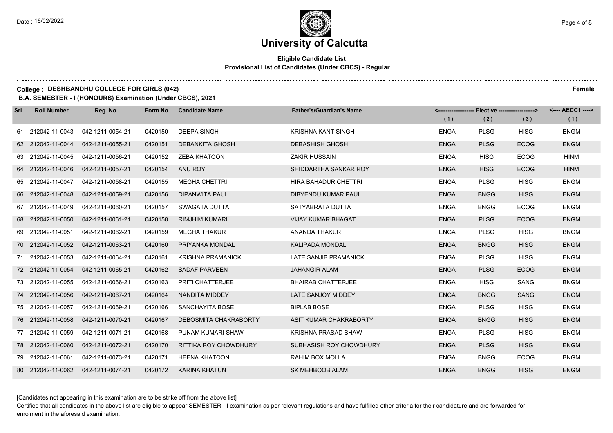#### **Eligible Candidate List Provisional List of Candidates (Under CBCS) - Regular**

#### **College : DESHBANDHU COLLEGE FOR GIRLS (042) Female**

**B.A. SEMESTER - I (HONOURS) Examination (Under CBCS), 2021**

| Srl. | <b>Roll Number</b> | Reg. No.                           | Form No | <b>Candidate Name</b>        | <b>Father's/Guardian's Name</b> |             | <------------------- Elective ------------------> |             | <---- AECC1 ----> |
|------|--------------------|------------------------------------|---------|------------------------------|---------------------------------|-------------|---------------------------------------------------|-------------|-------------------|
|      |                    |                                    |         |                              |                                 | (1)         | (2)                                               | (3)         | (1)               |
|      | 61 212042-11-0043  | 042-1211-0054-21                   | 0420150 | <b>DEEPA SINGH</b>           | <b>KRISHNA KANT SINGH</b>       | <b>ENGA</b> | <b>PLSG</b>                                       | <b>HISG</b> | <b>ENGM</b>       |
|      | 62 212042-11-0044  | 042-1211-0055-21                   | 0420151 | <b>DEBANKITA GHOSH</b>       | <b>DEBASHISH GHOSH</b>          | <b>ENGA</b> | <b>PLSG</b>                                       | <b>ECOG</b> | <b>ENGM</b>       |
|      | 63 212042-11-0045  | 042-1211-0056-21                   | 0420152 | <b>ZEBA KHATOON</b>          | <b>ZAKIR HUSSAIN</b>            | <b>ENGA</b> | <b>HISG</b>                                       | <b>ECOG</b> | <b>HINM</b>       |
|      | 64 212042-11-0046  | 042-1211-0057-21                   | 0420154 | ANU ROY                      | SHIDDARTHA SANKAR ROY           | <b>ENGA</b> | <b>HISG</b>                                       | <b>ECOG</b> | <b>HINM</b>       |
|      | 65 212042-11-0047  | 042-1211-0058-21                   | 0420155 | <b>MEGHA CHETTRI</b>         | HIRA BAHADUR CHETTRI            | <b>ENGA</b> | <b>PLSG</b>                                       | <b>HISG</b> | <b>ENGM</b>       |
|      | 66 212042-11-0048  | 042-1211-0059-21                   | 0420156 | <b>DIPANWITA PAUL</b>        | DIBYENDU KUMAR PAUL             | <b>ENGA</b> | <b>BNGG</b>                                       | <b>HISG</b> | <b>ENGM</b>       |
|      | 67 212042-11-0049  | 042-1211-0060-21                   | 0420157 | SWAGATA DUTTA                | SATYABRATA DUTTA                | <b>ENGA</b> | <b>BNGG</b>                                       | <b>ECOG</b> | <b>ENGM</b>       |
|      | 68 212042-11-0050  | 042-1211-0061-21                   | 0420158 | <b>RIMJHIM KUMARI</b>        | <b>VIJAY KUMAR BHAGAT</b>       | <b>ENGA</b> | <b>PLSG</b>                                       | <b>ECOG</b> | <b>ENGM</b>       |
|      | 69 212042-11-0051  | 042-1211-0062-21                   | 0420159 | <b>MEGHA THAKUR</b>          | ANANDA THAKUR                   | <b>ENGA</b> | <b>PLSG</b>                                       | <b>HISG</b> | <b>BNGM</b>       |
|      | 70 212042-11-0052  | 042-1211-0063-21                   | 0420160 | PRIYANKA MONDAL              | KALIPADA MONDAL                 | <b>ENGA</b> | <b>BNGG</b>                                       | <b>HISG</b> | <b>ENGM</b>       |
|      | 71 212042-11-0053  | 042-1211-0064-21                   | 0420161 | <b>KRISHNA PRAMANICK</b>     | LATE SANJIB PRAMANICK           | <b>ENGA</b> | <b>PLSG</b>                                       | <b>HISG</b> | <b>ENGM</b>       |
|      | 72 212042-11-0054  | 042-1211-0065-21                   | 0420162 | SADAF PARVEEN                | <b>JAHANGIR ALAM</b>            | <b>ENGA</b> | <b>PLSG</b>                                       | <b>ECOG</b> | <b>ENGM</b>       |
|      | 73 212042-11-0055  | 042-1211-0066-21                   | 0420163 | <b>PRITI CHATTERJEE</b>      | <b>BHAIRAB CHATTERJEE</b>       | <b>ENGA</b> | <b>HISG</b>                                       | <b>SANG</b> | <b>BNGM</b>       |
|      | 74 212042-11-0056  | 042-1211-0067-21                   | 0420164 | NANDITA MIDDEY               | LATE SANJOY MIDDEY              | <b>ENGA</b> | <b>BNGG</b>                                       | <b>SANG</b> | <b>ENGM</b>       |
|      | 75 212042-11-0057  | 042-1211-0069-21                   | 0420166 | SANCHAYITA BOSE              | <b>BIPLAB BOSE</b>              | <b>ENGA</b> | <b>PLSG</b>                                       | <b>HISG</b> | <b>ENGM</b>       |
|      | 76 212042-11-0058  | 042-1211-0070-21                   | 0420167 | DEBOSMITA CHAKRABORTY        | ASIT KUMAR CHAKRABORTY          | <b>ENGA</b> | <b>BNGG</b>                                       | <b>HISG</b> | <b>ENGM</b>       |
|      | 77 212042-11-0059  | 042-1211-0071-21                   | 0420168 | PUNAM KUMARI SHAW            | <b>KRISHNA PRASAD SHAW</b>      | <b>ENGA</b> | <b>PLSG</b>                                       | <b>HISG</b> | <b>ENGM</b>       |
|      | 78 212042-11-0060  | 042-1211-0072-21                   | 0420170 | <b>RITTIKA ROY CHOWDHURY</b> | SUBHASISH ROY CHOWDHURY         | <b>ENGA</b> | <b>PLSG</b>                                       | <b>HISG</b> | <b>ENGM</b>       |
|      | 79 212042-11-0061  | 042-1211-0073-21                   | 0420171 | <b>HEENA KHATOON</b>         | RAHIM BOX MOLLA                 | <b>ENGA</b> | <b>BNGG</b>                                       | <b>ECOG</b> | <b>BNGM</b>       |
|      |                    | 80 212042-11-0062 042-1211-0074-21 | 0420172 | <b>KARINA KHATUN</b>         | SK MEHBOOB ALAM                 | <b>ENGA</b> | <b>BNGG</b>                                       | <b>HISG</b> | <b>ENGM</b>       |

[Candidates not appearing in this examination are to be strike off from the above list]

Certified that all candidates in the above list are eligible to appear SEMESTER - I examination as per relevant regulations and have fulfilled other criteria for their candidature and are forwarded for enrolment in the aforesaid examination.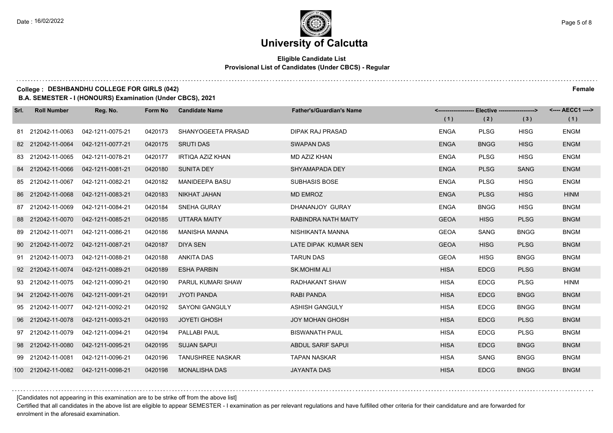$1.111$ 

### **University of Calcutta**

#### **Eligible Candidate List Provisional List of Candidates (Under CBCS) - Regular**

#### **College : DESHBANDHU COLLEGE FOR GIRLS (042) Female**

**B.A. SEMESTER - I (HONOURS) Examination (Under CBCS), 2021**

| Srl. | <b>Roll Number</b> | Reg. No.         | Form No | <b>Candidate Name</b>   | <b>Father's/Guardian's Name</b> |             | <------------------- Elective ------------------> |             | <---- AECC1 ----> |
|------|--------------------|------------------|---------|-------------------------|---------------------------------|-------------|---------------------------------------------------|-------------|-------------------|
|      |                    |                  |         |                         |                                 | (1)         | (2)                                               | (3)         | (1)               |
|      | 81 212042-11-0063  | 042-1211-0075-21 | 0420173 | SHANYOGEETA PRASAD      | <b>DIPAK RAJ PRASAD</b>         | <b>ENGA</b> | <b>PLSG</b>                                       | <b>HISG</b> | <b>ENGM</b>       |
|      | 82 212042-11-0064  | 042-1211-0077-21 | 0420175 | <b>SRUTI DAS</b>        | <b>SWAPAN DAS</b>               | <b>ENGA</b> | <b>BNGG</b>                                       | <b>HISG</b> | <b>ENGM</b>       |
|      | 83 212042-11-0065  | 042-1211-0078-21 | 0420177 | IRTIQA AZIZ KHAN        | MD AZIZ KHAN                    | <b>ENGA</b> | <b>PLSG</b>                                       | <b>HISG</b> | <b>ENGM</b>       |
|      | 84 212042-11-0066  | 042-1211-0081-21 | 0420180 | SUNITA DEY              | SHYAMAPADA DEY                  | <b>ENGA</b> | <b>PLSG</b>                                       | <b>SANG</b> | <b>ENGM</b>       |
|      | 85 212042-11-0067  | 042-1211-0082-21 | 0420182 | <b>MANIDEEPA BASU</b>   | <b>SUBHASIS BOSE</b>            | <b>ENGA</b> | <b>PLSG</b>                                       | <b>HISG</b> | <b>ENGM</b>       |
|      | 86 212042-11-0068  | 042-1211-0083-21 | 0420183 | <b>NIKHAT JAHAN</b>     | <b>MD EMROZ</b>                 | <b>ENGA</b> | <b>PLSG</b>                                       | <b>HISG</b> | <b>HINM</b>       |
|      | 87 212042-11-0069  | 042-1211-0084-21 | 0420184 | SNEHA GURAY             | DHANANJOY GURAY                 | ENGA        | <b>BNGG</b>                                       | <b>HISG</b> | <b>BNGM</b>       |
|      | 88 212042-11-0070  | 042-1211-0085-21 | 0420185 | UTTARA MAITY            | <b>RABINDRA NATH MAITY</b>      | <b>GEOA</b> | <b>HISG</b>                                       | <b>PLSG</b> | <b>BNGM</b>       |
|      | 89 212042-11-0071  | 042-1211-0086-21 | 0420186 | <b>MANISHA MANNA</b>    | NISHIKANTA MANNA                | <b>GEOA</b> | <b>SANG</b>                                       | <b>BNGG</b> | <b>BNGM</b>       |
|      | 90 212042-11-0072  | 042-1211-0087-21 | 0420187 | DIYA SEN                | LATE DIPAK KUMAR SEN            | <b>GEOA</b> | <b>HISG</b>                                       | <b>PLSG</b> | <b>BNGM</b>       |
|      | 91 212042-11-0073  | 042-1211-0088-21 | 0420188 | ANKITA DAS              | <b>TARUN DAS</b>                | <b>GEOA</b> | <b>HISG</b>                                       | <b>BNGG</b> | <b>BNGM</b>       |
|      | 92 212042-11-0074  | 042-1211-0089-21 | 0420189 | <b>ESHA PARBIN</b>      | <b>SK.MOHIM ALI</b>             | <b>HISA</b> | <b>EDCG</b>                                       | <b>PLSG</b> | <b>BNGM</b>       |
|      | 93 212042-11-0075  | 042-1211-0090-21 | 0420190 | PARUL KUMARI SHAW       | RADHAKANT SHAW                  | <b>HISA</b> | <b>EDCG</b>                                       | <b>PLSG</b> | <b>HINM</b>       |
|      | 94 212042-11-0076  | 042-1211-0091-21 | 0420191 | <b>JYOTI PANDA</b>      | <b>RABI PANDA</b>               | <b>HISA</b> | <b>EDCG</b>                                       | <b>BNGG</b> | <b>BNGM</b>       |
|      | 95 212042-11-0077  | 042-1211-0092-21 | 0420192 | <b>SAYONI GANGULY</b>   | ASHISH GANGULY                  | <b>HISA</b> | <b>EDCG</b>                                       | <b>BNGG</b> | <b>BNGM</b>       |
|      | 96 212042-11-0078  | 042-1211-0093-21 | 0420193 | <b>JOYETI GHOSH</b>     | <b>JOY MOHAN GHOSH</b>          | <b>HISA</b> | <b>EDCG</b>                                       | <b>PLSG</b> | <b>BNGM</b>       |
|      | 97 212042-11-0079  | 042-1211-0094-21 | 0420194 | PALLABI PAUL            | <b>BISWANATH PAUL</b>           | <b>HISA</b> | <b>EDCG</b>                                       | <b>PLSG</b> | <b>BNGM</b>       |
|      | 98 212042-11-0080  | 042-1211-0095-21 | 0420195 | <b>SUJAN SAPUI</b>      | ABDUL SARIF SAPUI               | <b>HISA</b> | <b>EDCG</b>                                       | <b>BNGG</b> | <b>BNGM</b>       |
|      | 99 212042-11-0081  | 042-1211-0096-21 | 0420196 | <b>TANUSHREE NASKAR</b> | <b>TAPAN NASKAR</b>             | <b>HISA</b> | SANG                                              | <b>BNGG</b> | <b>BNGM</b>       |
|      | 100 212042-11-0082 | 042-1211-0098-21 | 0420198 | <b>MONALISHA DAS</b>    | <b>JAYANTA DAS</b>              | <b>HISA</b> | <b>EDCG</b>                                       | <b>BNGG</b> | <b>BNGM</b>       |

[Candidates not appearing in this examination are to be strike off from the above list]

Certified that all candidates in the above list are eligible to appear SEMESTER - I examination as per relevant regulations and have fulfilled other criteria for their candidature and are forwarded for enrolment in the aforesaid examination.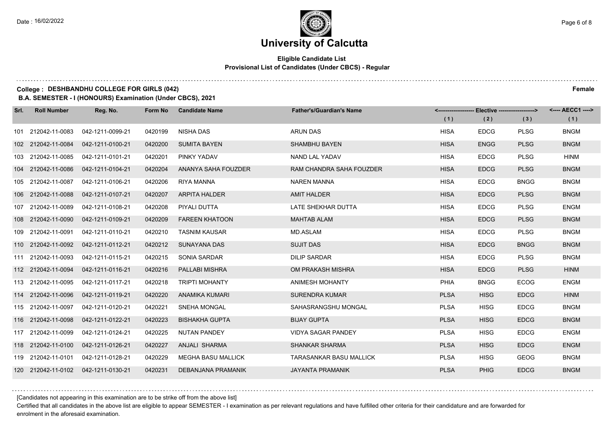#### **Eligible Candidate List Provisional List of Candidates (Under CBCS) - Regular**

. . . . . . . . . . .

#### **College : DESHBANDHU COLLEGE FOR GIRLS (042) Female**

**B.A. SEMESTER - I (HONOURS) Examination (Under CBCS), 2021**

| Srl. | <b>Roll Number</b> | Reg. No.         | Form No | <b>Candidate Name</b>     | <b>Father's/Guardian's Name</b> |             | <------------------- Elective ------------------> |             | <---- AECC1 ----> |
|------|--------------------|------------------|---------|---------------------------|---------------------------------|-------------|---------------------------------------------------|-------------|-------------------|
|      |                    |                  |         |                           |                                 | (1)         | (2)                                               | (3)         | (1)               |
|      | 101 212042-11-0083 | 042-1211-0099-21 | 0420199 | NISHA DAS                 | <b>ARUN DAS</b>                 | <b>HISA</b> | <b>EDCG</b>                                       | <b>PLSG</b> | <b>BNGM</b>       |
|      | 102 212042-11-0084 | 042-1211-0100-21 | 0420200 | <b>SUMITA BAYEN</b>       | <b>SHAMBHU BAYEN</b>            | <b>HISA</b> | <b>ENGG</b>                                       | <b>PLSG</b> | <b>BNGM</b>       |
|      | 103 212042-11-0085 | 042-1211-0101-21 | 0420201 | PINKY YADAV               | NAND LAL YADAV                  | <b>HISA</b> | <b>EDCG</b>                                       | <b>PLSG</b> | <b>HINM</b>       |
|      | 104 212042-11-0086 | 042-1211-0104-21 | 0420204 | ANANYA SAHA FOUZDER       | RAM CHANDRA SAHA FOUZDER        | <b>HISA</b> | <b>EDCG</b>                                       | <b>PLSG</b> | <b>BNGM</b>       |
|      | 105 212042-11-0087 | 042-1211-0106-21 | 0420206 | <b>RIYA MANNA</b>         | <b>NAREN MANNA</b>              | <b>HISA</b> | <b>EDCG</b>                                       | <b>BNGG</b> | <b>BNGM</b>       |
|      | 106 212042-11-0088 | 042-1211-0107-21 | 0420207 | <b>ARPITA HALDER</b>      | <b>AMIT HALDER</b>              | <b>HISA</b> | <b>EDCG</b>                                       | <b>PLSG</b> | <b>BNGM</b>       |
|      | 107 212042-11-0089 | 042-1211-0108-21 | 0420208 | PIYALI DUTTA              | LATE SHEKHAR DUTTA              | <b>HISA</b> | <b>EDCG</b>                                       | <b>PLSG</b> | <b>ENGM</b>       |
|      | 108 212042-11-0090 | 042-1211-0109-21 | 0420209 | <b>FAREEN KHATOON</b>     | MAHTAB ALAM                     | <b>HISA</b> | <b>EDCG</b>                                       | <b>PLSG</b> | <b>BNGM</b>       |
|      | 109 212042-11-0091 | 042-1211-0110-21 | 0420210 | <b>TASNIM KAUSAR</b>      | MD.ASLAM                        | <b>HISA</b> | <b>EDCG</b>                                       | <b>PLSG</b> | <b>BNGM</b>       |
|      | 110 212042-11-0092 | 042-1211-0112-21 | 0420212 | <b>SUNAYANA DAS</b>       | <b>SUJIT DAS</b>                | <b>HISA</b> | <b>EDCG</b>                                       | <b>BNGG</b> | <b>BNGM</b>       |
|      | 111 212042-11-0093 | 042-1211-0115-21 | 0420215 | SONIA SARDAR              | <b>DILIP SARDAR</b>             | <b>HISA</b> | <b>EDCG</b>                                       | <b>PLSG</b> | <b>BNGM</b>       |
|      | 112 212042-11-0094 | 042-1211-0116-21 | 0420216 | PALLABI MISHRA            | OM PRAKASH MISHRA               | <b>HISA</b> | <b>EDCG</b>                                       | <b>PLSG</b> | <b>HINM</b>       |
|      | 113 212042-11-0095 | 042-1211-0117-21 | 0420218 | <b>TRIPTI MOHANTY</b>     | <b>ANIMESH MOHANTY</b>          | <b>PHIA</b> | <b>BNGG</b>                                       | <b>ECOG</b> | <b>ENGM</b>       |
|      | 114 212042-11-0096 | 042-1211-0119-21 | 0420220 | ANAMIKA KUMARI            | <b>SURENDRA KUMAR</b>           | <b>PLSA</b> | <b>HISG</b>                                       | <b>EDCG</b> | <b>HINM</b>       |
|      | 115 212042-11-0097 | 042-1211-0120-21 | 0420221 | <b>SNEHA MONGAL</b>       | SAHASRANGSHU MONGAL             | <b>PLSA</b> | <b>HISG</b>                                       | <b>EDCG</b> | <b>BNGM</b>       |
|      | 116 212042-11-0098 | 042-1211-0122-21 | 0420223 | <b>BISHAKHA GUPTA</b>     | <b>BIJAY GUPTA</b>              | <b>PLSA</b> | <b>HISG</b>                                       | <b>EDCG</b> | <b>BNGM</b>       |
|      | 117 212042-11-0099 | 042-1211-0124-21 | 0420225 | NUTAN PANDEY              | <b>VIDYA SAGAR PANDEY</b>       | <b>PLSA</b> | <b>HISG</b>                                       | <b>EDCG</b> | <b>ENGM</b>       |
|      | 118 212042-11-0100 | 042-1211-0126-21 | 0420227 | <b>ANJALI SHARMA</b>      | <b>SHANKAR SHARMA</b>           | <b>PLSA</b> | <b>HISG</b>                                       | <b>EDCG</b> | <b>ENGM</b>       |
|      | 119 212042-11-0101 | 042-1211-0128-21 | 0420229 | <b>MEGHA BASU MALLICK</b> | <b>TARASANKAR BASU MALLICK</b>  | <b>PLSA</b> | <b>HISG</b>                                       | <b>GEOG</b> | <b>BNGM</b>       |
|      | 120 212042-11-0102 | 042-1211-0130-21 | 0420231 | DEBANJANA PRAMANIK        | <b>JAYANTA PRAMANIK</b>         | <b>PLSA</b> | <b>PHIG</b>                                       | <b>EDCG</b> | <b>BNGM</b>       |

[Candidates not appearing in this examination are to be strike off from the above list]

Certified that all candidates in the above list are eligible to appear SEMESTER - I examination as per relevant regulations and have fulfilled other criteria for their candidature and are forwarded for enrolment in the aforesaid examination.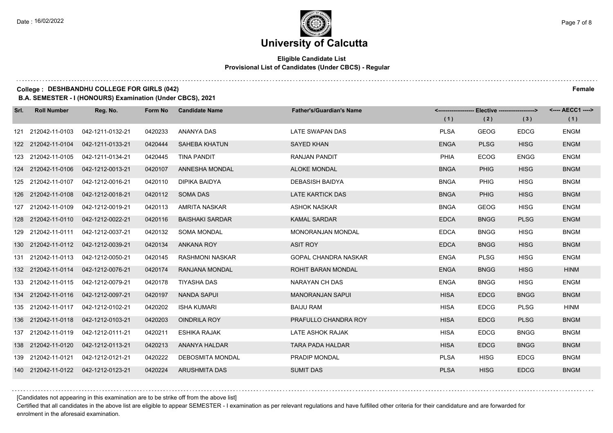#### **Eligible Candidate List Provisional List of Candidates (Under CBCS) - Regular**

#### **College : DESHBANDHU COLLEGE FOR GIRLS (042) Female**

**B.A. SEMESTER - I (HONOURS) Examination (Under CBCS), 2021**

| Srl. | <b>Roll Number</b> | Reg. No.         | Form No | <b>Candidate Name</b>   | <b>Father's/Guardian's Name</b> |             | <------------------- Elective ------------------> |             | <---- AECC1 ----> |
|------|--------------------|------------------|---------|-------------------------|---------------------------------|-------------|---------------------------------------------------|-------------|-------------------|
|      |                    |                  |         |                         |                                 | (1)         | (2)                                               | (3)         | (1)               |
|      | 121 212042-11-0103 | 042-1211-0132-21 | 0420233 | ANANYA DAS              | LATE SWAPAN DAS                 | <b>PLSA</b> | <b>GEOG</b>                                       | <b>EDCG</b> | <b>ENGM</b>       |
|      | 122 212042-11-0104 | 042-1211-0133-21 | 0420444 | <b>SAHEBA KHATUN</b>    | <b>SAYED KHAN</b>               | <b>ENGA</b> | <b>PLSG</b>                                       | <b>HISG</b> | <b>ENGM</b>       |
|      | 123 212042-11-0105 | 042-1211-0134-21 | 0420445 | <b>TINA PANDIT</b>      | RANJAN PANDIT                   | <b>PHIA</b> | <b>ECOG</b>                                       | <b>ENGG</b> | <b>ENGM</b>       |
|      | 124 212042-11-0106 | 042-1212-0013-21 | 0420107 | ANNESHA MONDAL          | <b>ALOKE MONDAL</b>             | <b>BNGA</b> | <b>PHIG</b>                                       | <b>HISG</b> | <b>BNGM</b>       |
|      | 125 212042-11-0107 | 042-1212-0016-21 | 0420110 | <b>DIPIKA BAIDYA</b>    | <b>DEBASISH BAIDYA</b>          | <b>BNGA</b> | <b>PHIG</b>                                       | <b>HISG</b> | <b>BNGM</b>       |
|      | 126 212042-11-0108 | 042-1212-0018-21 | 0420112 | SOMA DAS                | LATE KARTICK DAS                | <b>BNGA</b> | <b>PHIG</b>                                       | <b>HISG</b> | <b>BNGM</b>       |
|      | 127 212042-11-0109 | 042-1212-0019-21 | 0420113 | AMRITA NASKAR           | ASHOK NASKAR                    | <b>BNGA</b> | <b>GEOG</b>                                       | <b>HISG</b> | <b>ENGM</b>       |
|      | 128 212042-11-0110 | 042-1212-0022-21 | 0420116 | <b>BAISHAKI SARDAR</b>  | <b>KAMAL SARDAR</b>             | <b>EDCA</b> | <b>BNGG</b>                                       | <b>PLSG</b> | <b>ENGM</b>       |
|      | 129 212042-11-0111 | 042-1212-0037-21 | 0420132 | <b>SOMA MONDAL</b>      | <b>MONORANJAN MONDAL</b>        | <b>EDCA</b> | <b>BNGG</b>                                       | <b>HISG</b> | <b>BNGM</b>       |
|      | 130 212042-11-0112 | 042-1212-0039-21 | 0420134 | <b>ANKANA ROY</b>       | <b>ASIT ROY</b>                 | <b>EDCA</b> | <b>BNGG</b>                                       | <b>HISG</b> | <b>BNGM</b>       |
|      | 131 212042-11-0113 | 042-1212-0050-21 | 0420145 | <b>RASHMONI NASKAR</b>  | <b>GOPAL CHANDRA NASKAR</b>     | <b>ENGA</b> | <b>PLSG</b>                                       | <b>HISG</b> | <b>ENGM</b>       |
|      | 132 212042-11-0114 | 042-1212-0076-21 | 0420174 | RANJANA MONDAL          | <b>ROHIT BARAN MONDAL</b>       | <b>ENGA</b> | <b>BNGG</b>                                       | <b>HISG</b> | <b>HINM</b>       |
|      | 133 212042-11-0115 | 042-1212-0079-21 | 0420178 | <b>TIYASHA DAS</b>      | NARAYAN CH DAS                  | <b>ENGA</b> | <b>BNGG</b>                                       | <b>HISG</b> | <b>ENGM</b>       |
|      | 134 212042-11-0116 | 042-1212-0097-21 | 0420197 | <b>NANDA SAPUI</b>      | <b>MANORANJAN SAPUL</b>         | <b>HISA</b> | <b>EDCG</b>                                       | <b>BNGG</b> | <b>BNGM</b>       |
|      | 135 212042-11-0117 | 042-1212-0102-21 | 0420202 | <b>ISHA KUMARI</b>      | <b>BAIJU RAM</b>                | <b>HISA</b> | <b>EDCG</b>                                       | <b>PLSG</b> | <b>HINM</b>       |
|      | 136 212042-11-0118 | 042-1212-0103-21 | 0420203 | <b>OINDRILA ROY</b>     | PRAFULLO CHANDRA ROY            | <b>HISA</b> | <b>EDCG</b>                                       | <b>PLSG</b> | <b>BNGM</b>       |
|      | 137 212042-11-0119 | 042-1212-0111-21 | 0420211 | <b>ESHIKA RAJAK</b>     | LATE ASHOK RAJAK                | <b>HISA</b> | <b>EDCG</b>                                       | <b>BNGG</b> | <b>BNGM</b>       |
|      | 138 212042-11-0120 | 042-1212-0113-21 | 0420213 | ANANYA HALDAR           | <b>TARA PADA HALDAR</b>         | <b>HISA</b> | <b>EDCG</b>                                       | <b>BNGG</b> | <b>BNGM</b>       |
|      | 139 212042-11-0121 | 042-1212-0121-21 | 0420222 | <b>DEBOSMITA MONDAL</b> | PRADIP MONDAL                   | <b>PLSA</b> | <b>HISG</b>                                       | <b>EDCG</b> | <b>BNGM</b>       |
|      | 140 212042-11-0122 | 042-1212-0123-21 | 0420224 | ARUSHMITA DAS           | <b>SUMIT DAS</b>                | <b>PLSA</b> | <b>HISG</b>                                       | <b>EDCG</b> | <b>BNGM</b>       |

[Candidates not appearing in this examination are to be strike off from the above list]

Certified that all candidates in the above list are eligible to appear SEMESTER - I examination as per relevant regulations and have fulfilled other criteria for their candidature and are forwarded for enrolment in the aforesaid examination.